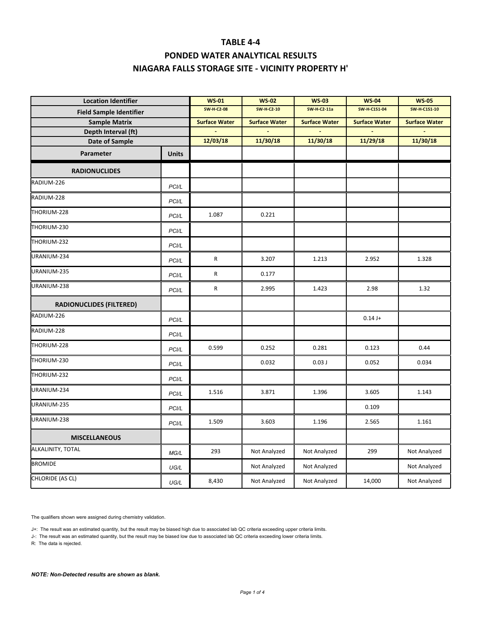# **PONDED WATER ANALYTICAL RESULTS NIAGARA FALLS STORAGE SITE ‐ VICINITY PROPERTY H'**

| <b>Location Identifier</b>      |              | <b>WS 01</b>         | <b>WS-02</b>         | <b>WS-03</b>         | <b>WS-04</b>         | <b>WS-05</b>         |  |
|---------------------------------|--------------|----------------------|----------------------|----------------------|----------------------|----------------------|--|
| <b>Field Sample Identifier</b>  |              | <b>SW-H-C2-08</b>    | <b>SW-H-C2-10</b>    | <b>SW-H-C2-11a</b>   | <b>SW-H-C1S1-04</b>  | <b>SW-H-C1S1-10</b>  |  |
| <b>Sample Matrix</b>            |              | <b>Surface Water</b> | <b>Surface Water</b> | <b>Surface Water</b> | <b>Surface Water</b> | <b>Surface Water</b> |  |
| Depth Interval (ft)             |              |                      |                      |                      |                      |                      |  |
| <b>Date of Sample</b>           |              | 12/03/18             | 11/30/18             | 11/30/18             | 11/29/18             | 11/30/18             |  |
| Parameter                       | <b>Units</b> |                      |                      |                      |                      |                      |  |
| <b>RADIONUCLIDES</b>            |              |                      |                      |                      |                      |                      |  |
| RADIUM-226                      | PCI/L        |                      |                      |                      |                      |                      |  |
| RADIUM-228                      | <b>PCI/L</b> |                      |                      |                      |                      |                      |  |
| THORIUM-228                     | PCI/L        | 1.087                | 0.221                |                      |                      |                      |  |
| THORIUM-230                     | PCI/L        |                      |                      |                      |                      |                      |  |
| THORIUM-232                     | PCI/L        |                      |                      |                      |                      |                      |  |
| URANIUM-234                     | PCI/L        | ${\sf R}$            | 3.207                | 1.213                | 2.952                | 1.328                |  |
| URANIUM-235                     | PCI/L        | R                    | 0.177                |                      |                      |                      |  |
| URANIUM-238                     | PCI/L        | $\mathsf R$          | 2.995                | 1.423                | 2.98                 | 1.32                 |  |
| <b>RADIONUCLIDES (FILTERED)</b> |              |                      |                      |                      |                      |                      |  |
| RADIUM-226                      | PCI/L        |                      |                      |                      | $0.14 J+$            |                      |  |
| RADIUM-228                      | PCI/L        |                      |                      |                      |                      |                      |  |
| THORIUM-228                     | PCI/L        | 0.599                | 0.252                | 0.281                | 0.123                | 0.44                 |  |
| THORIUM-230                     | PCI/L        |                      | 0.032                | 0.03J                | 0.052                | 0.034                |  |
| THORIUM-232                     | PCI/L        |                      |                      |                      |                      |                      |  |
| URANIUM-234                     | <b>PCI/L</b> | 1.516                | 3.871                | 1.396                | 3.605                | 1.143                |  |
| URANIUM-235                     | PCI/L        |                      |                      |                      | 0.109                |                      |  |
| URANIUM-238                     | PCI/L        | 1.509                | 3.603                | 1.196                | 2.565                | 1.161                |  |
| <b>MISCELLANEOUS</b>            |              |                      |                      |                      |                      |                      |  |
| ALKALINITY, TOTAL               | MG/L         | 293                  | Not Analyzed         | Not Analyzed         | 299                  | Not Analyzed         |  |
| <b>BROMIDE</b>                  | UG/L         |                      | Not Analyzed         | Not Analyzed         |                      | Not Analyzed         |  |
| CHLORIDE (AS CL)                | UG/L         | 8,430                | Not Analyzed         | Not Analyzed         | 14,000               | Not Analyzed         |  |

The qualifiers shown were assigned during chemistry validation.

J+: The result was an estimated quantity, but the result may be biased high due to associated lab QC criteria exceeding upper criteria limits.

J-: The result was an estimated quantity, but the result may be biased low due to associated lab QC criteria exceeding lower criteria limits.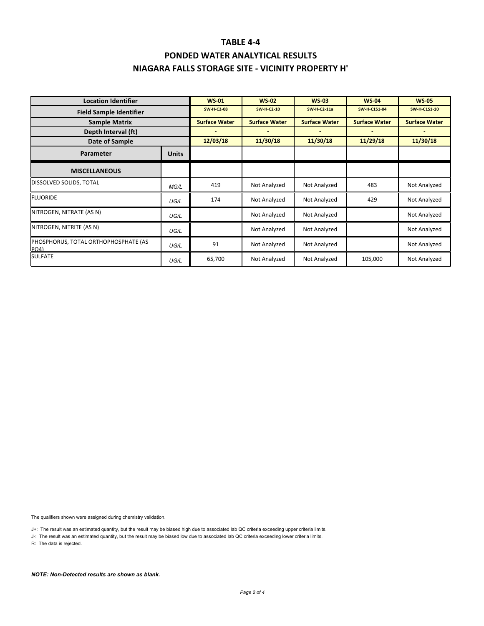# **PONDED WATER ANALYTICAL RESULTS NIAGARA FALLS STORAGE SITE ‐ VICINITY PROPERTY H'**

| <b>Location Identifier</b>                   |              | <b>WS-01</b>         | <b>WS-02</b>         | <b>WS-03</b>         | <b>WS-04</b>         | <b>WS-05</b>         |
|----------------------------------------------|--------------|----------------------|----------------------|----------------------|----------------------|----------------------|
| <b>Field Sample Identifier</b>               |              | <b>SW-H-C2-08</b>    | <b>SW-H-C2-10</b>    | <b>SW-H-C2-11a</b>   | <b>SW-H-C1S1-04</b>  | <b>SW-H-C1S1-10</b>  |
| <b>Sample Matrix</b>                         |              | <b>Surface Water</b> | <b>Surface Water</b> | <b>Surface Water</b> | <b>Surface Water</b> | <b>Surface Water</b> |
| Depth Interval (ft)                          |              |                      |                      |                      |                      |                      |
| Date of Sample                               |              | 12/03/18             | 11/30/18             | 11/30/18             | 11/29/18             | 11/30/18             |
| Parameter                                    | <b>Units</b> |                      |                      |                      |                      |                      |
| <b>MISCELLANEOUS</b>                         |              |                      |                      |                      |                      |                      |
| DISSOLVED SOLIDS, TOTAL                      | MG/L         | 419                  | Not Analyzed         | Not Analyzed         | 483                  | Not Analyzed         |
| <b>FLUORIDE</b>                              | UG/L         | 174                  | Not Analyzed         | Not Analyzed         | 429                  | Not Analyzed         |
| NITROGEN, NITRATE (AS N)                     | UG/L         |                      | Not Analyzed         | Not Analyzed         |                      | Not Analyzed         |
| NITROGEN, NITRITE (AS N)                     | UG/L         |                      | Not Analyzed         | Not Analyzed         |                      | Not Analyzed         |
| PHOSPHORUS, TOTAL ORTHOPHOSPHATE (AS<br>P(A) | UG/L         | 91                   | Not Analyzed         | Not Analyzed         |                      | Not Analyzed         |
| <b>SULFATE</b>                               | UG/L         | 65,700               | Not Analyzed         | Not Analyzed         | 105,000              | Not Analyzed         |

The qualifiers shown were assigned during chemistry validation.

J+: The result was an estimated quantity, but the result may be biased high due to associated lab QC criteria exceeding upper criteria limits.

J-: The result was an estimated quantity, but the result may be biased low due to associated lab QC criteria exceeding lower criteria limits.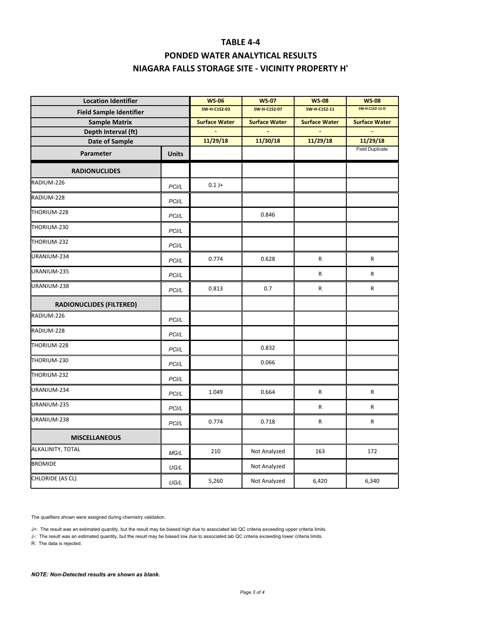# **PONDED WATER ANALYTICAL RESULTS NIAGARA FALLS STORAGE SITE ‐ VICINITY PROPERTY H'**

| <b>Location Identifier</b>      |                      | <b>WS-06</b>         | <b>WS-07</b>         | <b>WS-08</b>         | <b>WS-08</b>           |
|---------------------------------|----------------------|----------------------|----------------------|----------------------|------------------------|
| <b>Field Sample Identifier</b>  | <b>SW-H-C1S2-03</b>  | <b>SW-H-C1S2-07</b>  | <b>SW-H-C1S2-11</b>  | SW-H-C1S2-11-D       |                        |
| <b>Sample Matrix</b>            | <b>Surface Water</b> | <b>Surface Water</b> | <b>Surface Water</b> | <b>Surface Water</b> |                        |
| Depth Interval (ft)             |                      |                      |                      |                      |                        |
| <b>Date of Sample</b>           |                      | 11/29/18             | 11/30/18             | 11/29/18             | 11/29/18               |
| Parameter                       | <b>Units</b>         |                      |                      |                      | <b>Field Duplicate</b> |
| <b>RADIONUCLIDES</b>            |                      |                      |                      |                      |                        |
| RADIUM-226                      | PCI/L                | $0.1 J +$            |                      |                      |                        |
| RADIUM-228                      | PCI/L                |                      |                      |                      |                        |
| THORIUM-228                     | PCI/L                |                      | 0.846                |                      |                        |
| THORIUM-230                     | PCI/L                |                      |                      |                      |                        |
| THORIUM-232                     | PCI/L                |                      |                      |                      |                        |
| URANIUM-234                     | PCI/L                | 0.774                | 0.628                | R                    | R                      |
| URANIUM-235                     | PCI/L                |                      |                      | ${\sf R}$            | R                      |
| URANIUM-238                     | PCI/L                | 0.813                | 0.7                  | ${\sf R}$            | R                      |
| <b>RADIONUCLIDES (FILTERED)</b> |                      |                      |                      |                      |                        |
| RADIUM-226                      | PCI/L                |                      |                      |                      |                        |
| RADIUM-228                      | PCI/L                |                      |                      |                      |                        |
| THORIUM-228                     | PCI/L                |                      | 0.832                |                      |                        |
| THORIUM-230                     | PCI/L                |                      | 0.066                |                      |                        |
| THORIUM-232                     | PCI/L                |                      |                      |                      |                        |
| URANIUM-234                     | PCI/L                | 1.049                | 0.664                | R                    | R                      |
| URANIUM-235                     | PCI/L                |                      |                      | R                    | R                      |
| URANIUM-238                     | PCI/L                | 0.774                | 0.718                | R                    | R                      |
| <b>MISCELLANEOUS</b>            |                      |                      |                      |                      |                        |
| ALKALINITY, TOTAL               | MG/L                 | 210                  | Not Analyzed         | 163                  | 172                    |
| <b>BROMIDE</b>                  | UG/L                 |                      | Not Analyzed         |                      |                        |
| CHLORIDE (AS CL)                | UG/L                 | 5,260                | Not Analyzed         | 6,420                | 6,340                  |

The qualifiers shown were assigned during chemistry validation.

J+: The result was an estimated quantity, but the result may be biased high due to associated lab QC criteria exceeding upper criteria limits.

J-: The result was an estimated quantity, but the result may be biased low due to associated lab QC criteria exceeding lower criteria limits.